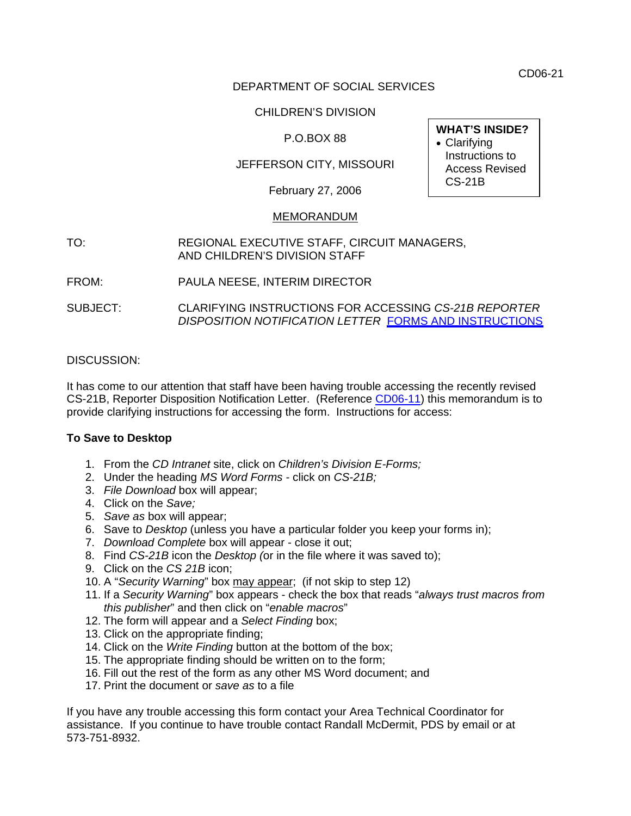CD06-21

## DEPARTMENT OF SOCIAL SERVICES

## CHILDREN'S DIVISION

# P.O.BOX 88

# JEFFERSON CITY, MISSOURI

February 27, 2006

### MEMORANDUM

- TO: REGIONAL EXECUTIVE STAFF, CIRCUIT MANAGERS, AND CHILDREN'S DIVISION STAFF
- FROM: PAULA NEESE, INTERIM DIRECTOR
- SUBJECT: CLARIFYING INSTRUCTIONS FOR ACCESSING *CS-21B REPORTER DISPOSITION NOTIFICATION LETTER* [FORMS AND INSTRUCTIONS](http://www.dss.mo.gov/cd/info/forms/index.htm)

### DISCUSSION:

It has come to our attention that staff have been having trouble accessing the recently revised CS-21B, Reporter Disposition Notification Letter. (Reference [CD06-11](http://www.dss.mo.gov/cd/info/memos/2006/11/cd0611.pdf)) this memorandum is to provide clarifying instructions for accessing the form. Instructions for access:

#### **To Save to Desktop**

- 1. From the *CD Intranet* site, click on *Children's Division E-Forms;*
- 2. Under the heading *MS Word Forms* click on *CS-21B;*
- 3. *File Download* box will appear;
- 4. Click on the *Save;*
- 5. *Save as* box will appear;
- 6. Save to *Desktop* (unless you have a particular folder you keep your forms in);
- 7. *Download Complete* box will appear close it out;
- 8. Find *CS-21B* icon the *Desktop (*or in the file where it was saved to);
- 9. Click on the *CS 21B* icon;
- 10. A "*Security Warning*" box may appear; (if not skip to step 12)
- 11. If a *Security Warning*" box appears check the box that reads "*always trust macros from this publisher*" and then click on "*enable macros*"
- 12. The form will appear and a *Select Finding* box;
- 13. Click on the appropriate finding;
- 14. Click on the *Write Finding* button at the bottom of the box;
- 15. The appropriate finding should be written on to the form;
- 16. Fill out the rest of the form as any other MS Word document; and
- 17. Print the document or *save as* to a file

If you have any trouble accessing this form contact your Area Technical Coordinator for assistance. If you continue to have trouble contact Randall McDermit, PDS by email or at 573-751-8932.

**WHAT'S INSIDE?**  • Clarifying Instructions to Access Revised CS-21B